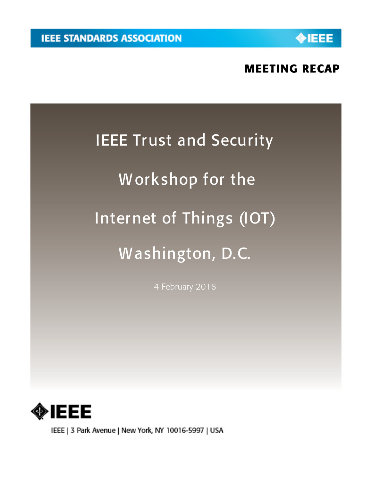**NEEE** 

# MEETING RECAP

# IEEE Trust and Security

# Workshop for the

# Internet of Things (IOT)

# Washington, D.C.

4 February 2016



IEEE | 3 Park Avenue | New York, NY 10016-5997 | USA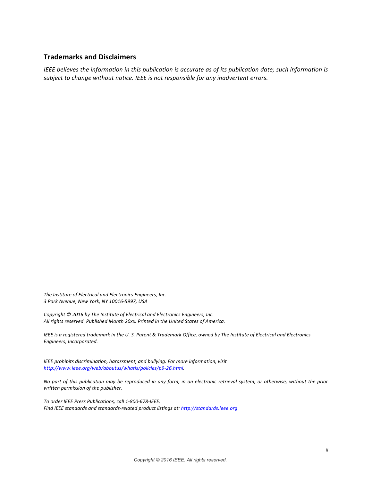# **Trademarks and Disclaimers**

*IEEE* believes the information in this publication is accurate as of its publication date; such information is subject to change without notice. IEEE is not responsible for any inadvertent errors.

The Institute of Electrical and Electronics Engineers, Inc. *3 Park Avenue, New York, NY 10016-5997, USA*

*Copyright*  $© 2016$  *by The Institute of Electrical and Electronics Engineers, Inc.* All rights reserved. Published Month 20xx. Printed in the United States of America.

*IEEE* is a registered trademark in the U. S. Patent & Trademark Office, owned by The Institute of Electrical and Electronics *Engineers, Incorporated.*

*IEEE* prohibits discrimination, harassment, and bullying. For more information, visit *http://www.ieee.org/web/aboutus/whatis/policies/p9-26.html.*

No part of this publication may be reproduced in any form, in an electronic retrieval system, or otherwise, without the prior *written permission of the publisher.*

*To order IEEE Press Publications, call 1-800-678-IEEE.* Find IEEE standards and standards-related product listings at: http://standards.ieee.org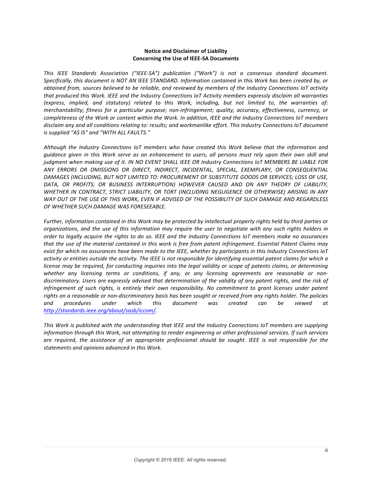#### **Notice and Disclaimer of Liability Concerning the Use of IEEE-SA Documents**

This IEEE Standards Association ("IEEE-SA") publication ("Work") is not a consensus standard document. Specifically, this document is NOT AN IEEE STANDARD. Information contained in this Work has been created by, or *obtained from, sources believed to be reliable, and reviewed by members of the Industry Connections IoT activity that produced this Work. IEEE and the Industry Connections IoT Activity members expressly disclaim all warranties* (express, implied, and statutory) related to this Work, including, but not limited to, the warranties of: *merchantability;* fitness for a particular purpose; non-infringement; quality, accuracy, effectiveness, currency, or *completeness of the Work or content within the Work. In addition, IEEE and the Industry Connections IoT members* disclaim any and all conditions relating to: results; and workmanlike effort. This Industry Connections IoT document *is* supplied "AS IS" and "WITH ALL FAULTS."

Although the *Industry Connections IoT* members who have created this Work believe that the information and *guidance given in this Work serve as an enhancement to users, all persons must rely upon their own skill and judgment when making use of it. IN NO EVENT SHALL IEEE OR Industry Connections IoT MEMBERS BE LIABLE FOR* ANY ERRORS OR OMISSIONS OR DIRECT, INDIRECT, INCIDENTAL, SPECIAL, EXEMPLARY, OR CONSEQUENTIAL DAMAGES (INCLUDING, BUT NOT LIMITED TO: PROCUREMENT OF SUBSTITUTE GOODS OR SERVICES; LOSS OF USE, DATA, OR PROFITS; OR BUSINESS INTERRUPTION) HOWEVER CAUSED AND ON ANY THEORY OF LIABILITY, WHETHER IN CONTRACT, STRICT LIABILITY, OR TORT (INCLUDING NEGLIGENCE OR OTHERWISE) ARISING IN ANY WAY OUT OF THE USE OF THIS WORK, EVEN IF ADVISED OF THE POSSIBILITY OF SUCH DAMAGE AND REGARDLESS *OF WHETHER SUCH DAMAGE WAS FORESEEABLE*.

*Further, information contained in this Work may be protected by intellectual property rights held by third parties or organizations, and the use of this information may require the user to negotiate with any such rights holders in* order to legally acquire the rights to do so. IEEE and the Industry Connections IoT members make no assurances that the use of the material contained in this work is free from patent infringement. Essential Patent Claims may *exist for which no assurances have been made to the IEEE, whether by participants in this Industry Connections IoT activity* or entities outside the activity. The IEEE is not responsible for identifying essential patent claims for which a *license* may be required, for conducting inquiries into the legal validity or scope of patents claims, or determining whether any licensing terms or conditions, if any, or any licensing agreements are reasonable or nondiscriminatory. Users are expressly advised that determination of the validity of any patent rights, and the risk of *infringement* of such rights, is entirely their own responsibility. No commitment to grant licenses under patent rights on a reasonable or non-discriminatory basis has been sought or received from any rights holder. The policies *and procedures under which this document was created can be viewed at http://standards.ieee.org/about/sasb/iccom/.*

*This* Work is published with the understanding that IEEE and the Industry Connections IoT members are supplying *information through this Work, not attempting to render engineering or other professional services. If such services* are required, the assistance of an appropriate professional should be sought. IEEE is not responsible for the *statements and opinions advanced in this Work.*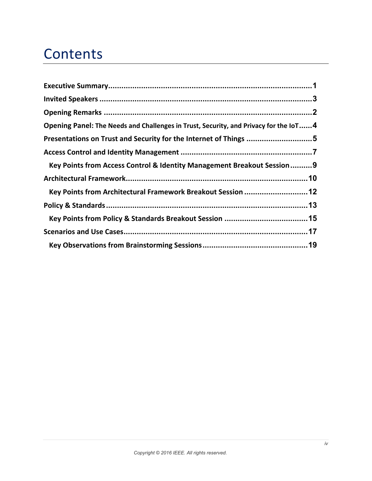# **Contents**

| Opening Panel: The Needs and Challenges in Trust, Security, and Privacy for the IoT4 |  |
|--------------------------------------------------------------------------------------|--|
| Presentations on Trust and Security for the Internet of Things 5                     |  |
|                                                                                      |  |
| Key Points from Access Control & Identity Management Breakout Session 9              |  |
|                                                                                      |  |
| Key Points from Architectural Framework Breakout Session  12                         |  |
|                                                                                      |  |
|                                                                                      |  |
|                                                                                      |  |
|                                                                                      |  |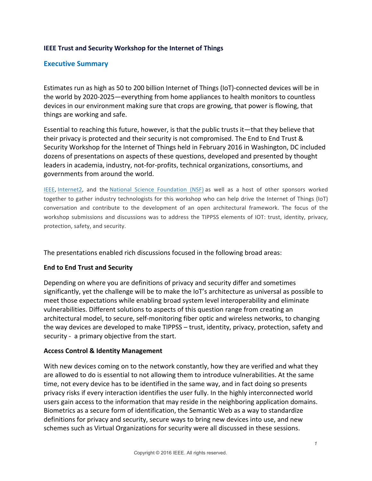# **IEEE Trust and Security Workshop for the Internet of Things**

# **Executive Summary**

Estimates run as high as 50 to 200 billion Internet of Things (IoT)-connected devices will be in the world by 2020-2025—everything from home appliances to health monitors to countless devices in our environment making sure that crops are growing, that power is flowing, that things are working and safe.

Essential to reaching this future, however, is that the public trusts it—that they believe that their privacy is protected and their security is not compromised. The End to End Trust & Security Workshop for the Internet of Things held in February 2016 in Washington, DC included dozens of presentations on aspects of these questions, developed and presented by thought leaders in academia, industry, not-for-profits, technical organizations, consortiums, and governments from around the world.

IEEE, Internet2, and the National Science Foundation (NSF) as well as a host of other sponsors worked together to gather industry technologists for this workshop who can help drive the Internet of Things (IoT) conversation and contribute to the development of an open architectural framework. The focus of the workshop submissions and discussions was to address the TIPPSS elements of IOT: trust, identity, privacy, protection, safety, and security.

The presentations enabled rich discussions focused in the following broad areas:

# **End to End Trust and Security**

Depending on where you are definitions of privacy and security differ and sometimes significantly, yet the challenge will be to make the IoT's architecture as universal as possible to meet those expectations while enabling broad system level interoperability and eliminate vulnerabilities. Different solutions to aspects of this question range from creating an architectural model, to secure, self-monitoring fiber optic and wireless networks, to changing the way devices are developed to make TIPPSS – trust, identity, privacy, protection, safety and security - a primary objective from the start.

# **Access Control & Identity Management**

With new devices coming on to the network constantly, how they are verified and what they are allowed to do is essential to not allowing them to introduce vulnerabilities. At the same time, not every device has to be identified in the same way, and in fact doing so presents privacy risks if every interaction identifies the user fully. In the highly interconnected world users gain access to the information that may reside in the neighboring application domains. Biometrics as a secure form of identification, the Semantic Web as a way to standardize definitions for privacy and security, secure ways to bring new devices into use, and new schemes such as Virtual Organizations for security were all discussed in these sessions.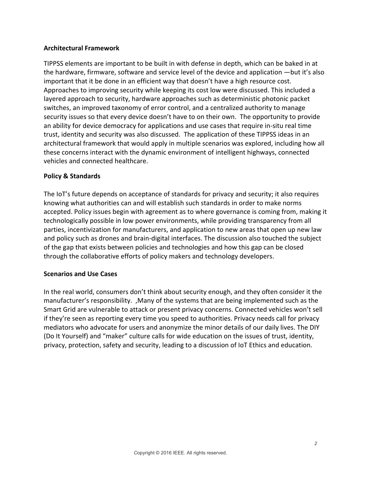# **Architectural Framework**

TIPPSS elements are important to be built in with defense in depth, which can be baked in at the hardware, firmware, software and service level of the device and application  $-$ but it's also important that it be done in an efficient way that doesn't have a high resource cost. Approaches to improving security while keeping its cost low were discussed. This included a layered approach to security, hardware approaches such as deterministic photonic packet switches, an improved taxonomy of error control, and a centralized authority to manage security issues so that every device doesn't have to on their own. The opportunity to provide an ability for device democracy for applications and use cases that require in-situ real time trust, identity and security was also discussed. The application of these TIPPSS ideas in an architectural framework that would apply in multiple scenarios was explored, including how all these concerns interact with the dynamic environment of intelligent highways, connected vehicles and connected healthcare.

# **Policy & Standards**

The IoT's future depends on acceptance of standards for privacy and security; it also requires knowing what authorities can and will establish such standards in order to make norms accepted. Policy issues begin with agreement as to where governance is coming from, making it technologically possible in low power environments, while providing transparency from all parties, incentivization for manufacturers, and application to new areas that open up new law and policy such as drones and brain-digital interfaces. The discussion also touched the subject of the gap that exists between policies and technologies and how this gap can be closed through the collaborative efforts of policy makers and technology developers.

# **Scenarios and Use Cases**

In the real world, consumers don't think about security enough, and they often consider it the manufacturer's responsibility. , Many of the systems that are being implemented such as the Smart Grid are vulnerable to attack or present privacy concerns. Connected vehicles won't sell if they're seen as reporting every time you speed to authorities. Privacy needs call for privacy mediators who advocate for users and anonymize the minor details of our daily lives. The DIY (Do It Yourself) and "maker" culture calls for wide education on the issues of trust, identity, privacy, protection, safety and security, leading to a discussion of IoT Ethics and education.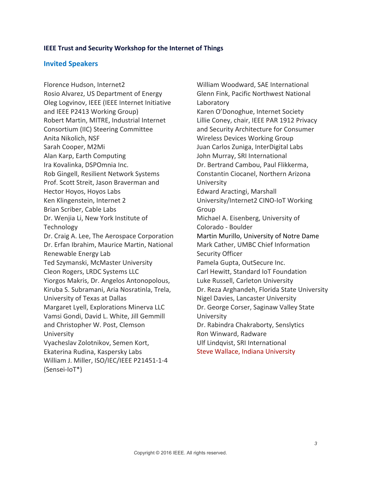## **IEEE Trust and Security Workshop for the Internet of Things**

## **Invited Speakers**

Florence Hudson, Internet2 Rosio Alvarez, US Department of Energy Oleg Logvinov, IEEE (IEEE Internet Initiative and IEEE P2413 Working Group) Robert Martin, MITRE, Industrial Internet Consortium (IIC) Steering Committee Anita Nikolich, NSF Sarah Cooper, M2Mi Alan Karp, Earth Computing Ira Kovalinka, DSPOmnia Inc. Rob Gingell, Resilient Network Systems Prof. Scott Streit, Jason Braverman and Hector Hoyos, Hoyos Labs Ken Klingenstein, Internet 2 Brian Scriber, Cable Labs Dr. Wenjia Li, New York Institute of **Technology** Dr. Craig A. Lee, The Aerospace Corporation Dr. Erfan Ibrahim, Maurice Martin, National Renewable Energy Lab Ted Szymanski, McMaster University Cleon Rogers, LRDC Systems LLC Yiorgos Makris, Dr. Angelos Antonopolous, Kiruba S. Subramani, Aria Nosratinla, Trela, University of Texas at Dallas Margaret Lyell, Explorations Minerva LLC Vamsi Gondi, David L. White, Jill Gemmill and Christopher W. Post, Clemson University Vyacheslav Zolotnikov, Semen Kort, Ekaterina Rudina, Kaspersky Labs William J. Miller, ISO/IEC/IEEE P21451-1-4 (Sensei-IoT\*) 

William Woodward, SAE International Glenn Fink, Pacific Northwest National Laboratory Karen O'Donoghue, Internet Society Lillie Coney, chair, IEEE PAR 1912 Privacy and Security Architecture for Consumer Wireless Devices Working Group Juan Carlos Zuniga, InterDigital Labs John Murray, SRI International Dr. Bertrand Cambou, Paul Flikkerma, Constantin Ciocanel, Northern Arizona University Edward Aractingi, Marshall University/Internet2 CINO-IoT Working Group Michael A. Eisenberg, University of Colorado - Boulder Martin Murillo, University of Notre Dame Mark Cather, UMBC Chief Information Security Officer Pamela Gupta, OutSecure Inc. Carl Hewitt, Standard IoT Foundation Luke Russell, Carleton University Dr. Reza Arghandeh, Florida State University Nigel Davies, Lancaster University Dr. George Corser, Saginaw Valley State University Dr. Rabindra Chakraborty, Senslytics Ron Winward, Radware Ulf Lindqvist, SRI International Steve Wallace, Indiana University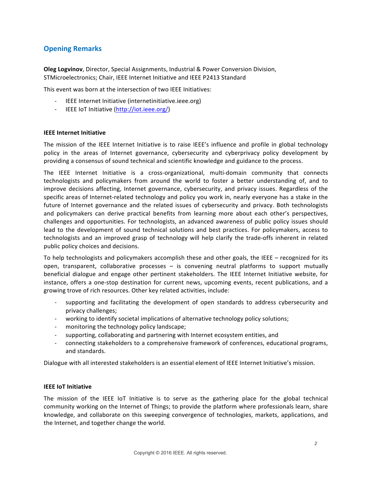# **Opening Remarks**

**Oleg Logvinov**, Director, Special Assignments, Industrial & Power Conversion Division, STMicroelectronics; Chair, IEEE Internet Initiative and IEEE P2413 Standard

This event was born at the intersection of two IEEE Initiatives:

- IEEE Internet Initiative (internetinitiative.ieee.org)
- IEEE IoT Initiative (http://iot.ieee.org/)

### **IEEE Internet Initiative**

The mission of the IEEE Internet Initiative is to raise IEEE's influence and profile in global technology policy in the areas of Internet governance, cybersecurity and cyberprivacy policy development by providing a consensus of sound technical and scientific knowledge and guidance to the process.

The IEEE Internet Initiative is a cross-organizational, multi-domain community that connects technologists and policymakers from around the world to foster a better understanding of, and to improve decisions affecting, Internet governance, cybersecurity, and privacy issues. Regardless of the specific areas of Internet-related technology and policy you work in, nearly everyone has a stake in the future of Internet governance and the related issues of cybersecurity and privacy. Both technologists and policymakers can derive practical benefits from learning more about each other's perspectives, challenges and opportunities. For technologists, an advanced awareness of public policy issues should lead to the development of sound technical solutions and best practices. For policymakers, access to technologists and an improved grasp of technology will help clarify the trade-offs inherent in related public policy choices and decisions.

To help technologists and policymakers accomplish these and other goals, the IEEE – recognized for its open, transparent, collaborative processes  $-$  is convening neutral platforms to support mutually beneficial dialogue and engage other pertinent stakeholders. The IEEE Internet Initiative website, for instance, offers a one-stop destination for current news, upcoming events, recent publications, and a growing trove of rich resources. Other key related activities, include:

- supporting and facilitating the development of open standards to address cybersecurity and privacy challenges;
- working to identify societal implications of alternative technology policy solutions;
- monitoring the technology policy landscape;
- supporting, collaborating and partnering with Internet ecosystem entities, and
- connecting stakeholders to a comprehensive framework of conferences, educational programs, and standards.

Dialogue with all interested stakeholders is an essential element of IEEE Internet Initiative's mission.

### **IEEE IoT Initiative**

The mission of the IEEE IoT Initiative is to serve as the gathering place for the global technical community working on the Internet of Things; to provide the platform where professionals learn, share knowledge, and collaborate on this sweeping convergence of technologies, markets, applications, and the Internet, and together change the world.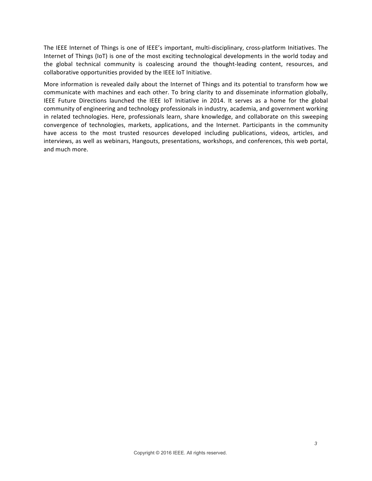The IEEE Internet of Things is one of IEEE's important, multi-disciplinary, cross-platform Initiatives. The Internet of Things (IoT) is one of the most exciting technological developments in the world today and the global technical community is coalescing around the thought-leading content, resources, and collaborative opportunities provided by the IEEE IoT Initiative.

More information is revealed daily about the Internet of Things and its potential to transform how we communicate with machines and each other. To bring clarity to and disseminate information globally, IEEE Future Directions launched the IEEE IoT Initiative in 2014. It serves as a home for the global community of engineering and technology professionals in industry, academia, and government working in related technologies. Here, professionals learn, share knowledge, and collaborate on this sweeping convergence of technologies, markets, applications, and the Internet. Participants in the community have access to the most trusted resources developed including publications, videos, articles, and interviews, as well as webinars, Hangouts, presentations, workshops, and conferences, this web portal, and much more.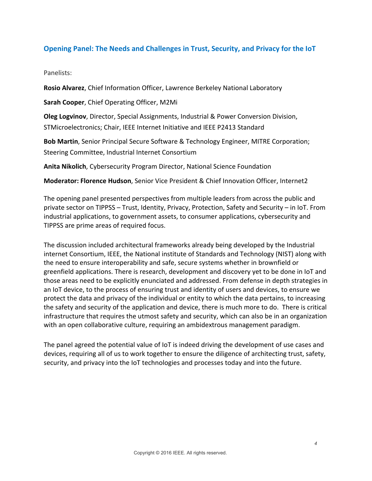# **Opening Panel: The Needs and Challenges in Trust, Security, and Privacy for the IoT**

## Panelists:

**Rosio Alvarez**, Chief Information Officer, Lawrence Berkeley National Laboratory

**Sarah Cooper, Chief Operating Officer, M2Mi** 

**Oleg Logvinov**, Director, Special Assignments, Industrial & Power Conversion Division, STMicroelectronics; Chair, IEEE Internet Initiative and IEEE P2413 Standard

**Bob Martin**, Senior Principal Secure Software & Technology Engineer, MITRE Corporation; Steering Committee, Industrial Internet Consortium

**Anita Nikolich**, Cybersecurity Program Director, National Science Foundation

**Moderator: Florence Hudson**, Senior Vice President & Chief Innovation Officer, Internet2

The opening panel presented perspectives from multiple leaders from across the public and private sector on TIPPSS – Trust, Identity, Privacy, Protection, Safety and Security – in IoT. From industrial applications, to government assets, to consumer applications, cybersecurity and TIPPSS are prime areas of required focus.

The discussion included architectural frameworks already being developed by the Industrial internet Consortium, IEEE, the National institute of Standards and Technology (NIST) along with the need to ensure interoperability and safe, secure systems whether in brownfield or greenfield applications. There is research, development and discovery yet to be done in IoT and those areas need to be explicitly enunciated and addressed. From defense in depth strategies in an IoT device, to the process of ensuring trust and identity of users and devices, to ensure we protect the data and privacy of the individual or entity to which the data pertains, to increasing the safety and security of the application and device, there is much more to do. There is critical infrastructure that requires the utmost safety and security, which can also be in an organization with an open collaborative culture, requiring an ambidextrous management paradigm.

The panel agreed the potential value of IoT is indeed driving the development of use cases and devices, requiring all of us to work together to ensure the diligence of architecting trust, safety, security, and privacy into the IoT technologies and processes today and into the future.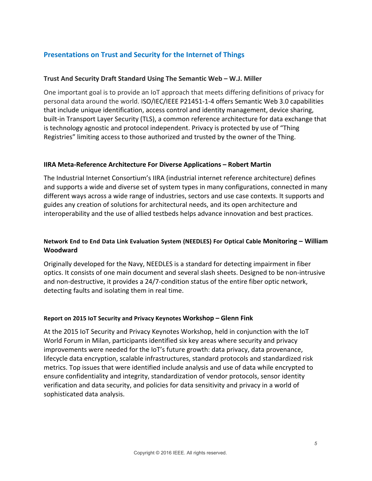# **Presentations on Trust and Security for the Internet of Things**

## **Trust And Security Draft Standard Using The Semantic Web – W.J. Miller**

One important goal is to provide an IoT approach that meets differing definitions of privacy for personal data around the world. ISO/IEC/IEEE P21451-1-4 offers Semantic Web 3.0 capabilities that include unique identification, access control and identity management, device sharing, built-in Transport Layer Security (TLS), a common reference architecture for data exchange that is technology agnostic and protocol independent. Privacy is protected by use of "Thing" Registries" limiting access to those authorized and trusted by the owner of the Thing.

## **IIRA Meta-Reference Architecture For Diverse Applications – Robert Martin**

The Industrial Internet Consortium's IIRA (industrial internet reference architecture) defines and supports a wide and diverse set of system types in many configurations, connected in many different ways across a wide range of industries, sectors and use case contexts. It supports and guides any creation of solutions for architectural needs, and its open architecture and interoperability and the use of allied testbeds helps advance innovation and best practices.

# **Network End to End Data Link Evaluation System (NEEDLES) For Optical Cable Monitoring - William Woodward**

Originally developed for the Navy, NEEDLES is a standard for detecting impairment in fiber optics. It consists of one main document and several slash sheets. Designed to be non-intrusive and non-destructive, it provides a 24/7-condition status of the entire fiber optic network, detecting faults and isolating them in real time.

## **Report on 2015 IoT Security and Privacy Keynotes Workshop - Glenn Fink**

At the 2015 IoT Security and Privacy Keynotes Workshop, held in conjunction with the IoT World Forum in Milan, participants identified six key areas where security and privacy improvements were needed for the IoT's future growth: data privacy, data provenance, lifecycle data encryption, scalable infrastructures, standard protocols and standardized risk metrics. Top issues that were identified include analysis and use of data while encrypted to ensure confidentiality and integrity, standardization of vendor protocols, sensor identity verification and data security, and policies for data sensitivity and privacy in a world of sophisticated data analysis.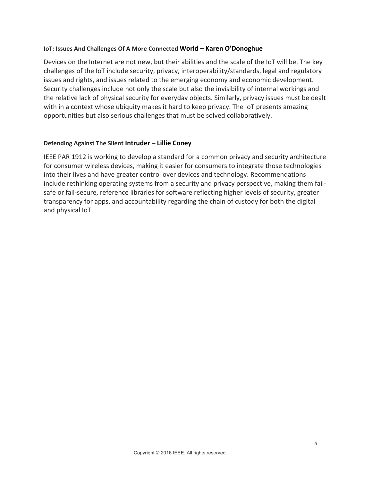## **IoT: Issues And Challenges Of A More Connected World - Karen O'Donoghue**

Devices on the Internet are not new, but their abilities and the scale of the IoT will be. The key challenges of the IoT include security, privacy, interoperability/standards, legal and regulatory issues and rights, and issues related to the emerging economy and economic development. Security challenges include not only the scale but also the invisibility of internal workings and the relative lack of physical security for everyday objects. Similarly, privacy issues must be dealt with in a context whose ubiquity makes it hard to keep privacy. The IoT presents amazing opportunities but also serious challenges that must be solved collaboratively.

## **Defending Against The Silent Intruder – Lillie Coney**

IEEE PAR 1912 is working to develop a standard for a common privacy and security architecture for consumer wireless devices, making it easier for consumers to integrate those technologies into their lives and have greater control over devices and technology. Recommendations include rethinking operating systems from a security and privacy perspective, making them failsafe or fail-secure, reference libraries for software reflecting higher levels of security, greater transparency for apps, and accountability regarding the chain of custody for both the digital and physical IoT.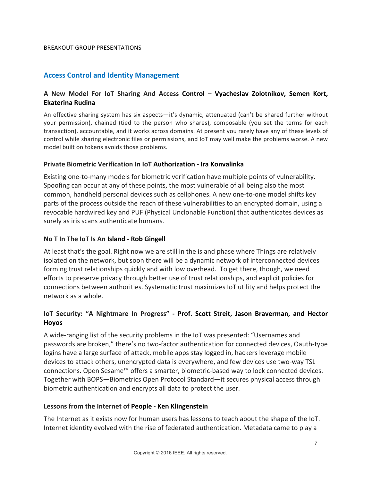# **Access Control and Identity Management**

# **A New Model For IoT Sharing And Access Control – Vyacheslav Zolotnikov, Semen Kort, Ekaterina Rudina**

An effective sharing system has six aspects—it's dynamic, attenuated (can't be shared further without your permission), chained (tied to the person who shares), composable (you set the terms for each transaction). accountable, and it works across domains. At present you rarely have any of these levels of control while sharing electronic files or permissions, and IoT may well make the problems worse. A new model built on tokens avoids those problems.

## **Private Biometric Verification In IoT Authorization - Ira Konvalinka**

Existing one-to-many models for biometric verification have multiple points of vulnerability. Spoofing can occur at any of these points, the most vulnerable of all being also the most common, handheld personal devices such as cellphones. A new one-to-one model shifts key parts of the process outside the reach of these vulnerabilities to an encrypted domain, using a revocable hardwired key and PUF (Physical Unclonable Function) that authenticates devices as surely as iris scans authenticate humans.

## **No T In The IoT Is An Island - Rob Gingell**

At least that's the goal. Right now we are still in the island phase where Things are relatively isolated on the network, but soon there will be a dynamic network of interconnected devices forming trust relationships quickly and with low overhead. To get there, though, we need efforts to preserve privacy through better use of trust relationships, and explicit policies for connections between authorities. Systematic trust maximizes IoT utility and helps protect the network as a whole.

# **IoT Security: "A Nightmare In Progress" - Prof. Scott Streit, Jason Braverman, and Hector Hoyos**

A wide-ranging list of the security problems in the IoT was presented: "Usernames and passwords are broken," there's no two-factor authentication for connected devices, Oauth-type logins have a large surface of attack, mobile apps stay logged in, hackers leverage mobile devices to attack others, unencrypted data is everywhere, and few devices use two-way TSL connections. Open Sesame<sup>™</sup> offers a smarter, biometric-based way to lock connected devices. Together with BOPS—Biometrics Open Protocol Standard—it secures physical access through biometric authentication and encrypts all data to protect the user.

## Lessons from the Internet of People - Ken Klingenstein

The Internet as it exists now for human users has lessons to teach about the shape of the IoT. Internet identity evolved with the rise of federated authentication. Metadata came to play a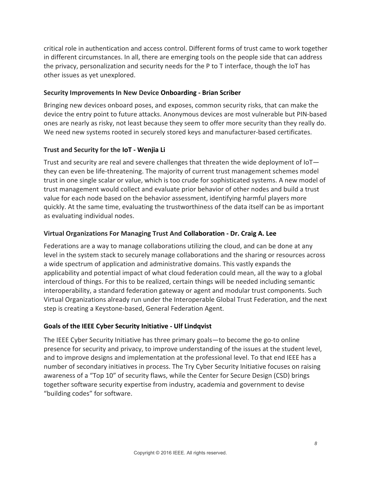critical role in authentication and access control. Different forms of trust came to work together in different circumstances. In all, there are emerging tools on the people side that can address the privacy, personalization and security needs for the  $P$  to  $T$  interface, though the IoT has other issues as yet unexplored.

# **Security Improvements In New Device Onboarding - Brian Scriber**

Bringing new devices onboard poses, and exposes, common security risks, that can make the device the entry point to future attacks. Anonymous devices are most vulnerable but PIN-based ones are nearly as risky, not least because they seem to offer more security than they really do. We need new systems rooted in securely stored keys and manufacturer-based certificates.

# **Trust and Security for the IoT - Wenjia Li**

Trust and security are real and severe challenges that threaten the wide deployment of  $I$ oT $$ they can even be life-threatening. The majority of current trust management schemes model trust in one single scalar or value, which is too crude for sophisticated systems. A new model of trust management would collect and evaluate prior behavior of other nodes and build a trust value for each node based on the behavior assessment, identifying harmful players more quickly. At the same time, evaluating the trustworthiness of the data itself can be as important as evaluating individual nodes.

# **Virtual Organizations For Managing Trust And Collaboration - Dr. Craig A. Lee**

Federations are a way to manage collaborations utilizing the cloud, and can be done at any level in the system stack to securely manage collaborations and the sharing or resources across a wide spectrum of application and administrative domains. This vastly expands the applicability and potential impact of what cloud federation could mean, all the way to a global intercloud of things. For this to be realized, certain things will be needed including semantic interoperability, a standard federation gateway or agent and modular trust components. Such Virtual Organizations already run under the Interoperable Global Trust Federation, and the next step is creating a Keystone-based, General Federation Agent.

# **Goals of the IEEE Cyber Security Initiative - Ulf Lindqvist**

The IEEE Cyber Security Initiative has three primary goals—to become the go-to online presence for security and privacy, to improve understanding of the issues at the student level, and to improve designs and implementation at the professional level. To that end IEEE has a number of secondary initiatives in process. The Try Cyber Security Initiative focuses on raising awareness of a "Top 10" of security flaws, while the Center for Secure Design (CSD) brings together software security expertise from industry, academia and government to devise "building codes" for software.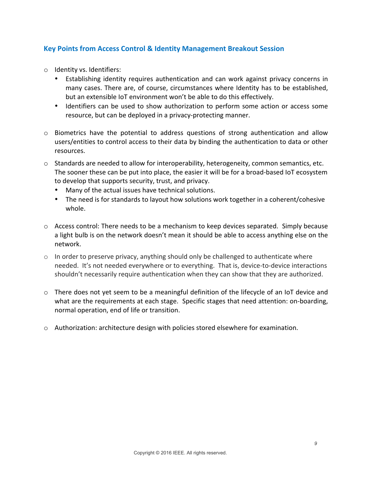# **Key Points from Access Control & Identity Management Breakout Session**

- o Identity vs. Identifiers:
	- Establishing identity requires authentication and can work against privacy concerns in many cases. There are, of course, circumstances where Identity has to be established, but an extensible IoT environment won't be able to do this effectively.
	- Identifiers can be used to show authorization to perform some action or access some resource, but can be deployed in a privacy-protecting manner.
- o Biometrics have the potential to address questions of strong authentication and allow users/entities to control access to their data by binding the authentication to data or other resources.
- $\circ$  Standards are needed to allow for interoperability, heterogeneity, common semantics, etc. The sooner these can be put into place, the easier it will be for a broad-based IoT ecosystem to develop that supports security, trust, and privacy.
	- Many of the actual issues have technical solutions.
	- The need is for standards to layout how solutions work together in a coherent/cohesive whole.
- $\circ$  Access control: There needs to be a mechanism to keep devices separated. Simply because a light bulb is on the network doesn't mean it should be able to access anything else on the network.
- $\circ$  In order to preserve privacy, anything should only be challenged to authenticate where needed. It's not needed everywhere or to everything. That is, device-to-device interactions shouldn't necessarily require authentication when they can show that they are authorized.
- $\circ$  There does not yet seem to be a meaningful definition of the lifecycle of an IoT device and what are the requirements at each stage. Specific stages that need attention: on-boarding, normal operation, end of life or transition.
- $\circ$  Authorization: architecture design with policies stored elsewhere for examination.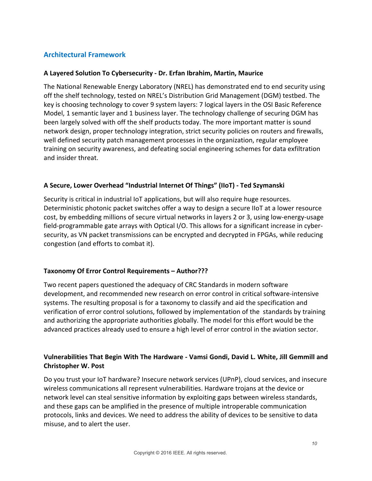# **Architectural Framework**

# **A Layered Solution To Cybersecurity - Dr. Erfan Ibrahim, Martin, Maurice**

The National Renewable Energy Laboratory (NREL) has demonstrated end to end security using off the shelf technology, tested on NREL's Distribution Grid Management (DGM) testbed. The key is choosing technology to cover 9 system layers: 7 logical layers in the OSI Basic Reference Model, 1 semantic layer and 1 business layer. The technology challenge of securing DGM has been largely solved with off the shelf products today. The more important matter is sound network design, proper technology integration, strict security policies on routers and firewalls, well defined security patch management processes in the organization, regular employee training on security awareness, and defeating social engineering schemes for data exfiltration and insider threat.

# **A Secure, Lower Overhead "Industrial Internet Of Things" (IIoT) - Ted Szymanski**

Security is critical in industrial IoT applications, but will also require huge resources. Deterministic photonic packet switches offer a way to design a secure IIoT at a lower resource cost, by embedding millions of secure virtual networks in layers 2 or 3, using low-energy-usage field-programmable gate arrays with Optical I/O. This allows for a significant increase in cybersecurity, as VN packet transmissions can be encrypted and decrypted in FPGAs, while reducing congestion (and efforts to combat it).

# **Taxonomy Of Error Control Requirements – Author???**

Two recent papers questioned the adequacy of CRC Standards in modern software development, and recommended new research on error control in critical software-intensive systems. The resulting proposal is for a taxonomy to classify and aid the specification and verification of error control solutions, followed by implementation of the standards by training and authorizing the appropriate authorities globally. The model for this effort would be the advanced practices already used to ensure a high level of error control in the aviation sector.

# Vulnerabilities That Begin With The Hardware - Vamsi Gondi, David L. White, Jill Gemmill and **Christopher W. Post**

Do you trust your IoT hardware? Insecure network services (UPnP), cloud services, and insecure wireless communications all represent vulnerabilities. Hardware trojans at the device or network level can steal sensitive information by exploiting gaps between wireless standards, and these gaps can be amplified in the presence of multiple introperable communication protocols, links and devices. We need to address the ability of devices to be sensitive to data misuse, and to alert the user.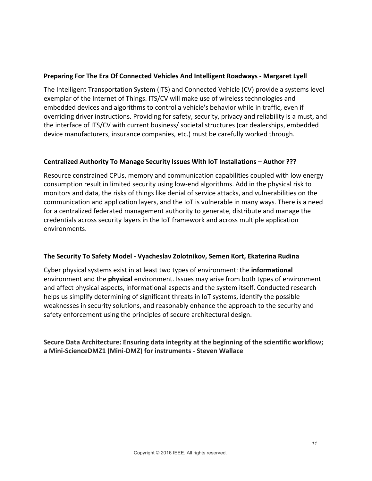# **Preparing For The Era Of Connected Vehicles And Intelligent Roadways - Margaret Lyell**

The Intelligent Transportation System (ITS) and Connected Vehicle (CV) provide a systems level exemplar of the Internet of Things. ITS/CV will make use of wireless technologies and embedded devices and algorithms to control a vehicle's behavior while in traffic, even if overriding driver instructions. Providing for safety, security, privacy and reliability is a must, and the interface of ITS/CV with current business/ societal structures (car dealerships, embedded device manufacturers, insurance companies, etc.) must be carefully worked through.

# **Centralized Authority To Manage Security Issues With IoT Installations – Author ???**

Resource constrained CPUs, memory and communication capabilities coupled with low energy consumption result in limited security using low-end algorithms. Add in the physical risk to monitors and data, the risks of things like denial of service attacks, and vulnerabilities on the communication and application layers, and the IoT is vulnerable in many ways. There is a need for a centralized federated management authority to generate, distribute and manage the credentials across security layers in the IoT framework and across multiple application environments.

# **The Security To Safety Model - Vyacheslav Zolotnikov, Semen Kort, Ekaterina Rudina**

Cyber physical systems exist in at least two types of environment: the *informational* environment and the **physical** environment. Issues may arise from both types of environment and affect physical aspects, informational aspects and the system itself. Conducted research helps us simplify determining of significant threats in IoT systems, identify the possible weaknesses in security solutions, and reasonably enhance the approach to the security and safety enforcement using the principles of secure architectural design.

# Secure Data Architecture: Ensuring data integrity at the beginning of the scientific workflow; **a Mini-ScienceDMZ1 (Mini-DMZ) for instruments - Steven Wallace**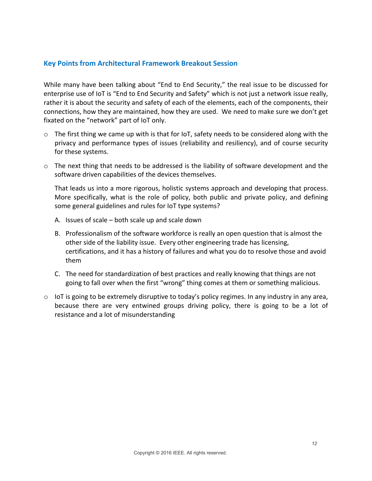# **Key Points from Architectural Framework Breakout Session**

While many have been talking about "End to End Security," the real issue to be discussed for enterprise use of IoT is "End to End Security and Safety" which is not just a network issue really, rather it is about the security and safety of each of the elements, each of the components, their connections, how they are maintained, how they are used. We need to make sure we don't get fixated on the "network" part of IoT only.

- $\circ$  The first thing we came up with is that for IoT, safety needs to be considered along with the privacy and performance types of issues (reliability and resiliency), and of course security for these systems.
- $\circ$  The next thing that needs to be addressed is the liability of software development and the software driven capabilities of the devices themselves.

That leads us into a more rigorous, holistic systems approach and developing that process. More specifically, what is the role of policy, both public and private policy, and defining some general guidelines and rules for IoT type systems?

- A. Issues of scale  $-$  both scale up and scale down
- B. Professionalism of the software workforce is really an open question that is almost the other side of the liability issue. Every other engineering trade has licensing, certifications, and it has a history of failures and what you do to resolve those and avoid them
- C. The need for standardization of best practices and really knowing that things are not going to fall over when the first "wrong" thing comes at them or something malicious.
- $\circ$  IoT is going to be extremely disruptive to today's policy regimes. In any industry in any area, because there are very entwined groups driving policy, there is going to be a lot of resistance and a lot of misunderstanding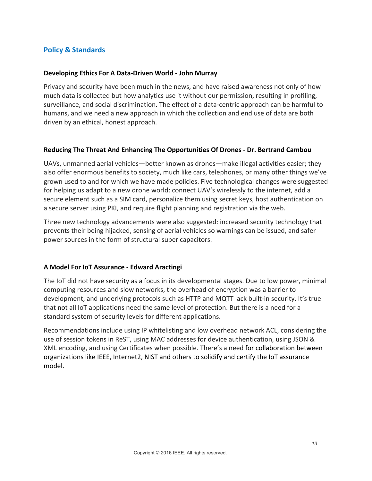# **Policy & Standards**

## **Developing Ethics For A Data-Driven World - John Murray**

Privacy and security have been much in the news, and have raised awareness not only of how much data is collected but how analytics use it without our permission, resulting in profiling, surveillance, and social discrimination. The effect of a data-centric approach can be harmful to humans, and we need a new approach in which the collection and end use of data are both driven by an ethical, honest approach.

## Reducing The Threat And Enhancing The Opportunities Of Drones - Dr. Bertrand Cambou

UAVs, unmanned aerial vehicles—better known as drones—make illegal activities easier; they also offer enormous benefits to society, much like cars, telephones, or many other things we've grown used to and for which we have made policies. Five technological changes were suggested for helping us adapt to a new drone world: connect UAV's wirelessly to the internet, add a secure element such as a SIM card, personalize them using secret keys, host authentication on a secure server using PKI, and require flight planning and registration via the web.

Three new technology advancements were also suggested: increased security technology that prevents their being hijacked, sensing of aerial vehicles so warnings can be issued, and safer power sources in the form of structural super capacitors.

# **A Model For IoT Assurance - Edward Aractingi**

The IoT did not have security as a focus in its developmental stages. Due to low power, minimal computing resources and slow networks, the overhead of encryption was a barrier to development, and underlying protocols such as HTTP and MQTT lack built-in security. It's true that not all IoT applications need the same level of protection. But there is a need for a standard system of security levels for different applications.

Recommendations include using IP whitelisting and low overhead network ACL, considering the use of session tokens in ReST, using MAC addresses for device authentication, using JSON & XML encoding, and using Certificates when possible. There's a need for collaboration between organizations like IEEE, Internet2, NIST and others to solidify and certify the IoT assurance model.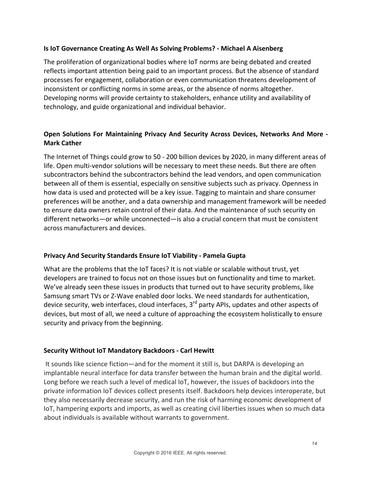# **Is IoT Governance Creating As Well As Solving Problems? - Michael A Aisenberg**

The proliferation of organizational bodies where IoT norms are being debated and created reflects important attention being paid to an important process. But the absence of standard processes for engagement, collaboration or even communication threatens development of inconsistent or conflicting norms in some areas, or the absence of norms altogether. Developing norms will provide certainty to stakeholders, enhance utility and availability of technology, and guide organizational and individual behavior.

# **Open Solutions For Maintaining Privacy And Security Across Devices, Networks And More -Mark Cather**

The Internet of Things could grow to 50 - 200 billion devices by 2020, in many different areas of life. Open multi-vendor solutions will be necessary to meet these needs. But there are often subcontractors behind the subcontractors behind the lead vendors, and open communication between all of them is essential, especially on sensitive subjects such as privacy. Openness in how data is used and protected will be a key issue. Tagging to maintain and share consumer preferences will be another, and a data ownership and management framework will be needed to ensure data owners retain control of their data. And the maintenance of such security on different networks—or while unconnected—is also a crucial concern that must be consistent across manufacturers and devices.

# **Privacy And Security Standards Ensure IoT Viability - Pamela Gupta**

What are the problems that the IoT faces? It is not viable or scalable without trust, yet developers are trained to focus not on those issues but on functionality and time to market. We've already seen these issues in products that turned out to have security problems, like Samsung smart TVs or Z-Wave enabled door locks. We need standards for authentication, device security, web interfaces, cloud interfaces, 3<sup>rd</sup> party APIs, updates and other aspects of devices, but most of all, we need a culture of approaching the ecosystem holistically to ensure security and privacy from the beginning.

# **Security Without IoT Mandatory Backdoors - Carl Hewitt**

It sounds like science fiction—and for the moment it still is, but DARPA is developing an implantable neural interface for data transfer between the human brain and the digital world. Long before we reach such a level of medical IoT, however, the issues of backdoors into the private information IoT devices collect presents itself. Backdoors help devices interoperate, but they also necessarily decrease security, and run the risk of harming economic development of IoT, hampering exports and imports, as well as creating civil liberties issues when so much data about individuals is available without warrants to government.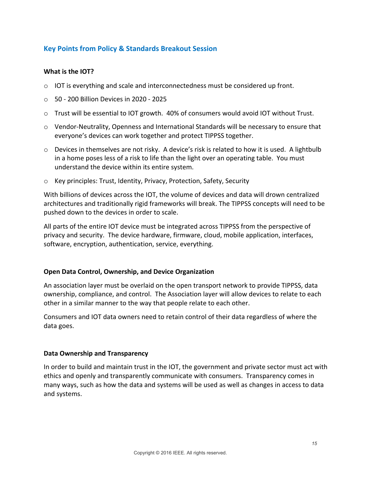# **Key Points from Policy & Standards Breakout Session**

# **What is the IOT?**

- $\circ$  IOT is everything and scale and interconnectedness must be considered up front.
- $\circ$  50 200 Billion Devices in 2020 2025
- $\circ$  Trust will be essential to IOT growth. 40% of consumers would avoid IOT without Trust.
- $\circ$  Vendor-Neutrality, Openness and International Standards will be necessary to ensure that everyone's devices can work together and protect TIPPSS together.
- $\circ$  Devices in themselves are not risky. A device's risk is related to how it is used. A lightbulb in a home poses less of a risk to life than the light over an operating table. You must understand the device within its entire system.
- $\circ$  Key principles: Trust, Identity, Privacy, Protection, Safety, Security

With billions of devices across the IOT, the volume of devices and data will drown centralized architectures and traditionally rigid frameworks will break. The TIPPSS concepts will need to be pushed down to the devices in order to scale.

All parts of the entire IOT device must be integrated across TIPPSS from the perspective of privacy and security. The device hardware, firmware, cloud, mobile application, interfaces, software, encryption, authentication, service, everything.

## **Open Data Control, Ownership, and Device Organization**

An association layer must be overlaid on the open transport network to provide TIPPSS, data ownership, compliance, and control. The Association layer will allow devices to relate to each other in a similar manner to the way that people relate to each other.

Consumers and IOT data owners need to retain control of their data regardless of where the data goes.

# **Data Ownership and Transparency**

In order to build and maintain trust in the IOT, the government and private sector must act with ethics and openly and transparently communicate with consumers. Transparency comes in many ways, such as how the data and systems will be used as well as changes in access to data and systems.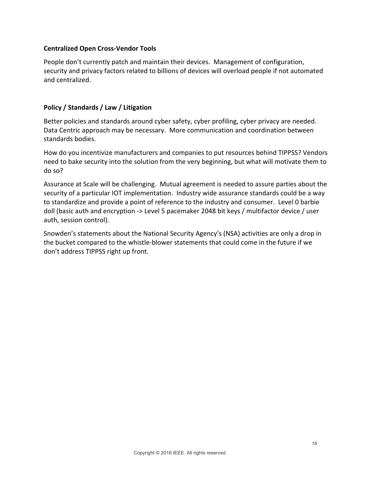# **Centralized Open Cross-Vendor Tools**

People don't currently patch and maintain their devices. Management of configuration, security and privacy factors related to billions of devices will overload people if not automated and centralized.

# **Policy / Standards / Law / Litigation**

Better policies and standards around cyber safety, cyber profiling, cyber privacy are needed. Data Centric approach may be necessary. More communication and coordination between standards bodies.

How do you incentivize manufacturers and companies to put resources behind TIPPSS? Vendors need to bake security into the solution from the very beginning, but what will motivate them to do so?

Assurance at Scale will be challenging. Mutual agreement is needed to assure parties about the security of a particular IOT implementation. Industry wide assurance standards could be a way to standardize and provide a point of reference to the industry and consumer. Level 0 barbie doll (basic auth and encryption -> Level 5 pacemaker 2048 bit keys / multifactor device / user auth, session control).

Snowden's statements about the National Security Agency's (NSA) activities are only a drop in the bucket compared to the whistle-blower statements that could come in the future if we don't address TIPPSS right up front.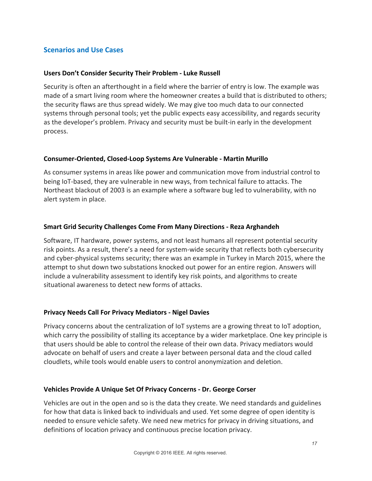# **Scenarios and Use Cases**

## **Users Don't Consider Security Their Problem - Luke Russell**

Security is often an afterthought in a field where the barrier of entry is low. The example was made of a smart living room where the homeowner creates a build that is distributed to others; the security flaws are thus spread widely. We may give too much data to our connected systems through personal tools; yet the public expects easy accessibility, and regards security as the developer's problem. Privacy and security must be built-in early in the development process.

## **Consumer-Oriented, Closed-Loop Systems Are Vulnerable - Martin Murillo**

As consumer systems in areas like power and communication move from industrial control to being IoT-based, they are vulnerable in new ways, from technical failure to attacks. The Northeast blackout of 2003 is an example where a software bug led to vulnerability, with no alert system in place.

## **Smart Grid Security Challenges Come From Many Directions - Reza Arghandeh**

Software, IT hardware, power systems, and not least humans all represent potential security risk points. As a result, there's a need for system-wide security that reflects both cybersecurity and cyber-physical systems security; there was an example in Turkey in March 2015, where the attempt to shut down two substations knocked out power for an entire region. Answers will include a vulnerability assessment to identify key risk points, and algorithms to create situational awareness to detect new forms of attacks.

# **Privacy Needs Call For Privacy Mediators - Nigel Davies**

Privacy concerns about the centralization of IoT systems are a growing threat to IoT adoption, which carry the possibility of stalling its acceptance by a wider marketplace. One key principle is that users should be able to control the release of their own data. Privacy mediators would advocate on behalf of users and create a layer between personal data and the cloud called cloudlets, while tools would enable users to control anonymization and deletion.

## **Vehicles Provide A Unique Set Of Privacy Concerns - Dr. George Corser**

Vehicles are out in the open and so is the data they create. We need standards and guidelines for how that data is linked back to individuals and used. Yet some degree of open identity is needed to ensure vehicle safety. We need new metrics for privacy in driving situations, and definitions of location privacy and continuous precise location privacy.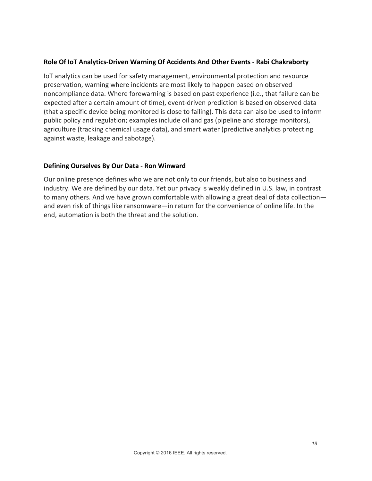## **Role Of IoT Analytics-Driven Warning Of Accidents And Other Events - Rabi Chakraborty**

IoT analytics can be used for safety management, environmental protection and resource preservation, warning where incidents are most likely to happen based on observed noncompliance data. Where forewarning is based on past experience (i.e., that failure can be expected after a certain amount of time), event-driven prediction is based on observed data (that a specific device being monitored is close to failing). This data can also be used to inform public policy and regulation; examples include oil and gas (pipeline and storage monitors), agriculture (tracking chemical usage data), and smart water (predictive analytics protecting against waste, leakage and sabotage).

## **Defining Ourselves By Our Data - Ron Winward**

Our online presence defines who we are not only to our friends, but also to business and industry. We are defined by our data. Yet our privacy is weakly defined in U.S. law, in contrast to many others. And we have grown comfortable with allowing a great deal of data collectionand even risk of things like ransomware—in return for the convenience of online life. In the end, automation is both the threat and the solution.